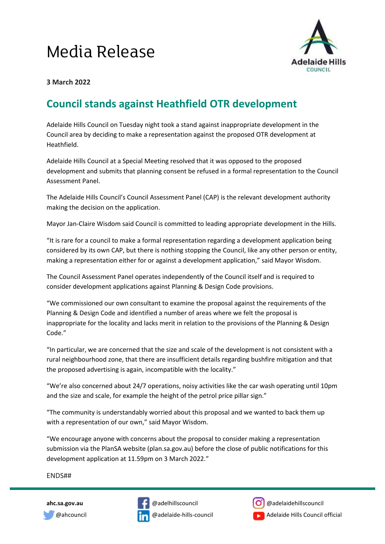## Media Release



## **3 March 2022**

## **Council stands against Heathfield OTR development**

Adelaide Hills Council on Tuesday night took a stand against inappropriate development in the Council area by deciding to make a representation against the proposed OTR development at Heathfield.

Adelaide Hills Council at a Special Meeting resolved that it was opposed to the proposed development and submits that planning consent be refused in a formal representation to the Council Assessment Panel.

The Adelaide Hills Council's Council Assessment Panel (CAP) is the relevant development authority making the decision on the application.

Mayor Jan-Claire Wisdom said Council is committed to leading appropriate development in the Hills.

"It is rare for a council to make a formal representation regarding a development application being considered by its own CAP, but there is nothing stopping the Council, like any other person or entity, making a representation either for or against a development application," said Mayor Wisdom.

The Council Assessment Panel operates independently of the Council itself and is required to consider development applications against Planning & Design Code provisions.

"We commissioned our own consultant to examine the proposal against the requirements of the Planning & Design Code and identified a number of areas where we felt the proposal is inappropriate for the locality and lacks merit in relation to the provisions of the Planning & Design Code."

"In particular, we are concerned that the size and scale of the development is not consistent with a rural neighbourhood zone, that there are insufficient details regarding bushfire mitigation and that the proposed advertising is again, incompatible with the locality."

"We're also concerned about 24/7 operations, noisy activities like the car wash operating until 10pm and the size and scale, for example the height of the petrol price pillar sign."

"The community is understandably worried about this proposal and we wanted to back them up with a representation of our own," said Mayor Wisdom.

"We encourage anyone with concerns about the proposal to consider making a representation submission via the PlanSA website (plan.sa.gov.au) before the close of public notifications for this development application at 11.59pm on 3 March 2022."

ENDS##